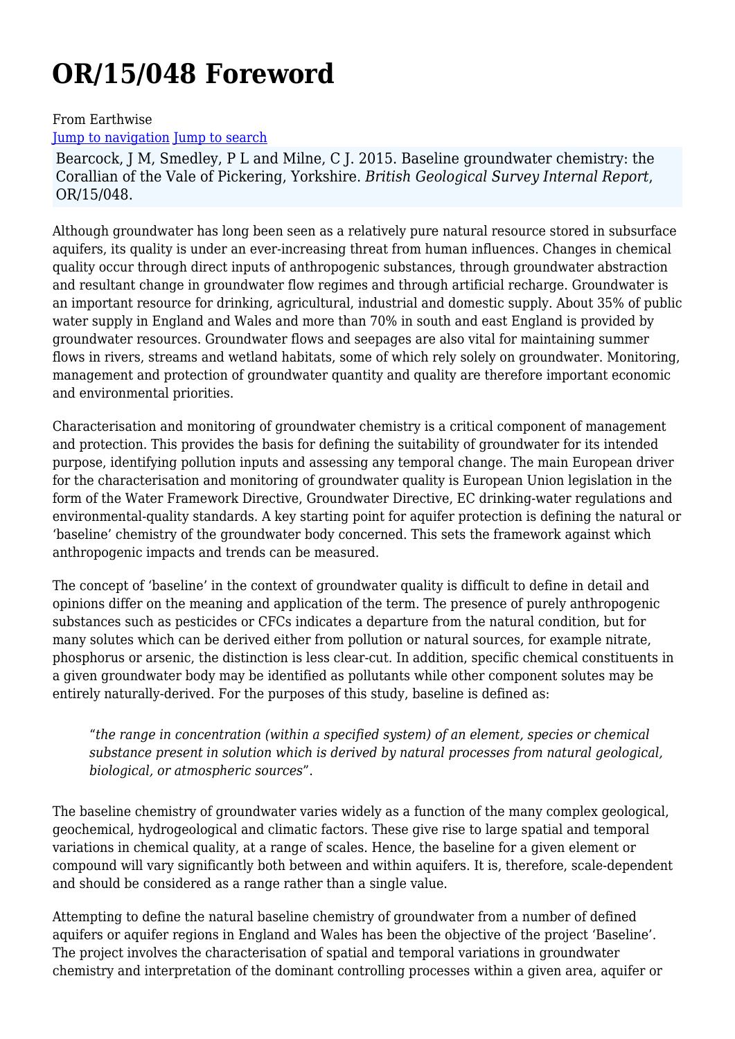# **OR/15/048 Foreword**

#### From Earthwise

#### [Jump to navigation](#page--1-0) [Jump to search](#page--1-0)

Bearcock, J M, Smedley, P L and Milne, C J. 2015. Baseline groundwater chemistry: the Corallian of the Vale of Pickering, Yorkshire. *British Geological Survey Internal Report*, OR/15/048.

Although groundwater has long been seen as a relatively pure natural resource stored in subsurface aquifers, its quality is under an ever-increasing threat from human influences. Changes in chemical quality occur through direct inputs of anthropogenic substances, through groundwater abstraction and resultant change in groundwater flow regimes and through artificial recharge. Groundwater is an important resource for drinking, agricultural, industrial and domestic supply. About 35% of public water supply in England and Wales and more than 70% in south and east England is provided by groundwater resources. Groundwater flows and seepages are also vital for maintaining summer flows in rivers, streams and wetland habitats, some of which rely solely on groundwater. Monitoring, management and protection of groundwater quantity and quality are therefore important economic and environmental priorities.

Characterisation and monitoring of groundwater chemistry is a critical component of management and protection. This provides the basis for defining the suitability of groundwater for its intended purpose, identifying pollution inputs and assessing any temporal change. The main European driver for the characterisation and monitoring of groundwater quality is European Union legislation in the form of the Water Framework Directive, Groundwater Directive, EC drinking-water regulations and environmental-quality standards. A key starting point for aquifer protection is defining the natural or 'baseline' chemistry of the groundwater body concerned. This sets the framework against which anthropogenic impacts and trends can be measured.

The concept of 'baseline' in the context of groundwater quality is difficult to define in detail and opinions differ on the meaning and application of the term. The presence of purely anthropogenic substances such as pesticides or CFCs indicates a departure from the natural condition, but for many solutes which can be derived either from pollution or natural sources, for example nitrate, phosphorus or arsenic, the distinction is less clear-cut. In addition, specific chemical constituents in a given groundwater body may be identified as pollutants while other component solutes may be entirely naturally-derived. For the purposes of this study, baseline is defined as:

"*the range in concentration (within a specified system) of an element, species or chemical substance present in solution which is derived by natural processes from natural geological, biological, or atmospheric sources*".

The baseline chemistry of groundwater varies widely as a function of the many complex geological, geochemical, hydrogeological and climatic factors. These give rise to large spatial and temporal variations in chemical quality, at a range of scales. Hence, the baseline for a given element or compound will vary significantly both between and within aquifers. It is, therefore, scale-dependent and should be considered as a range rather than a single value.

Attempting to define the natural baseline chemistry of groundwater from a number of defined aquifers or aquifer regions in England and Wales has been the objective of the project 'Baseline'. The project involves the characterisation of spatial and temporal variations in groundwater chemistry and interpretation of the dominant controlling processes within a given area, aquifer or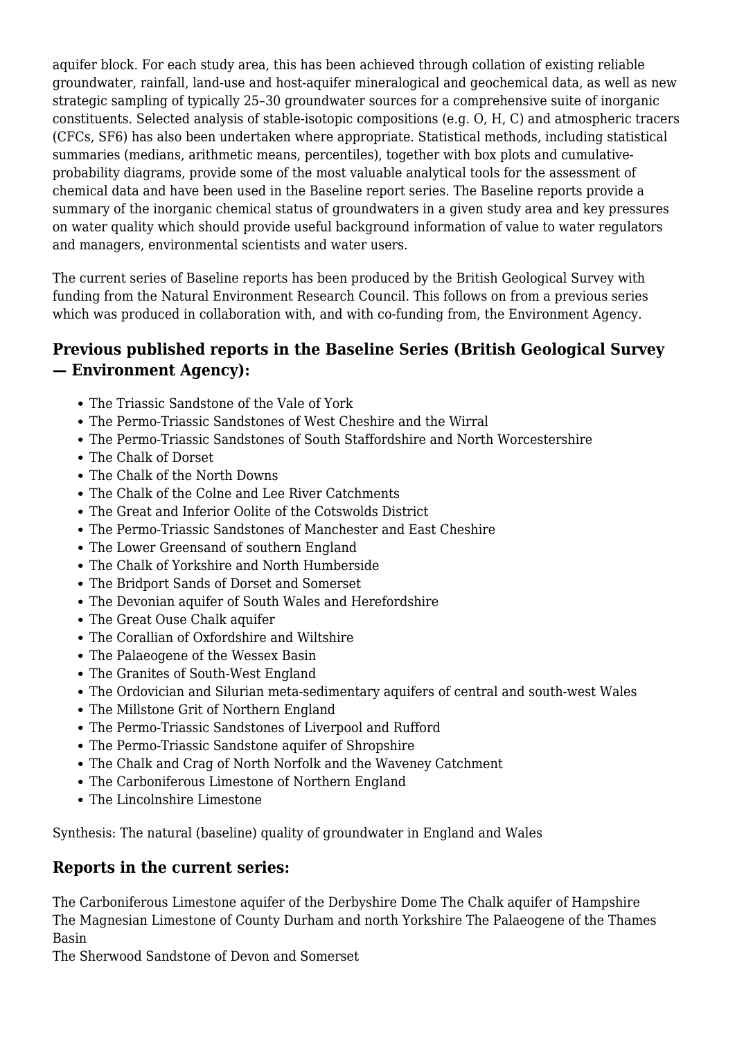aquifer block. For each study area, this has been achieved through collation of existing reliable groundwater, rainfall, land-use and host-aquifer mineralogical and geochemical data, as well as new strategic sampling of typically 25–30 groundwater sources for a comprehensive suite of inorganic constituents. Selected analysis of stable-isotopic compositions (e.g. O, H, C) and atmospheric tracers (CFCs, SF6) has also been undertaken where appropriate. Statistical methods, including statistical summaries (medians, arithmetic means, percentiles), together with box plots and cumulativeprobability diagrams, provide some of the most valuable analytical tools for the assessment of chemical data and have been used in the Baseline report series. The Baseline reports provide a summary of the inorganic chemical status of groundwaters in a given study area and key pressures on water quality which should provide useful background information of value to water regulators and managers, environmental scientists and water users.

The current series of Baseline reports has been produced by the British Geological Survey with funding from the Natural Environment Research Council. This follows on from a previous series which was produced in collaboration with, and with co-funding from, the Environment Agency.

#### **Previous published reports in the Baseline Series (British Geological Survey — Environment Agency):**

- The Triassic Sandstone of the Vale of York
- The Permo-Triassic Sandstones of West Cheshire and the Wirral
- The Permo-Triassic Sandstones of South Staffordshire and North Worcestershire
- The Chalk of Dorset
- The Chalk of the North Downs
- The Chalk of the Colne and Lee River Catchments
- The Great and Inferior Oolite of the Cotswolds District
- The Permo-Triassic Sandstones of Manchester and East Cheshire
- The Lower Greensand of southern England
- The Chalk of Yorkshire and North Humberside
- The Bridport Sands of Dorset and Somerset
- The Devonian aquifer of South Wales and Herefordshire
- The Great Ouse Chalk aquifer
- The Corallian of Oxfordshire and Wiltshire
- The Palaeogene of the Wessex Basin
- The Granites of South-West England
- The Ordovician and Silurian meta-sedimentary aquifers of central and south-west Wales
- The Millstone Grit of Northern England
- The Permo-Triassic Sandstones of Liverpool and Rufford
- The Permo-Triassic Sandstone aquifer of Shropshire
- The Chalk and Crag of North Norfolk and the Waveney Catchment
- The Carboniferous Limestone of Northern England
- The Lincolnshire Limestone

Synthesis: The natural (baseline) quality of groundwater in England and Wales

#### **Reports in the current series:**

The Carboniferous Limestone aquifer of the Derbyshire Dome The Chalk aquifer of Hampshire The Magnesian Limestone of County Durham and north Yorkshire The Palaeogene of the Thames Basin

The Sherwood Sandstone of Devon and Somerset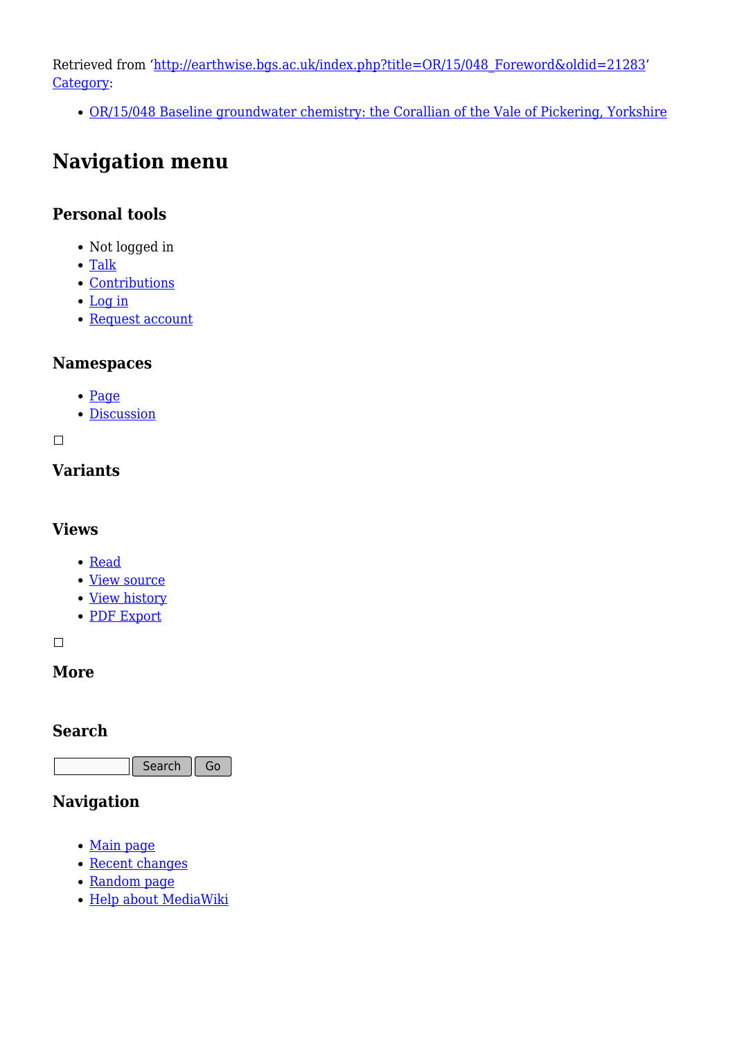Retrieved from ['http://earthwise.bgs.ac.uk/index.php?title=OR/15/048\\_Foreword&oldid=21283](http://earthwise.bgs.ac.uk/index.php?title=OR/15/048_Foreword&oldid=21283)' [Category](http://earthwise.bgs.ac.uk/index.php/Special:Categories):

[OR/15/048 Baseline groundwater chemistry: the Corallian of the Vale of Pickering, Yorkshire](http://earthwise.bgs.ac.uk/index.php/Category:OR/15/048_Baseline_groundwater_chemistry:_the_Corallian_of_the_Vale_of_Pickering,_Yorkshire)

# **Navigation menu**

#### **Personal tools**

- Not logged in
- [Talk](http://earthwise.bgs.ac.uk/index.php/Special:MyTalk)
- [Contributions](http://earthwise.bgs.ac.uk/index.php/Special:MyContributions)
- [Log in](http://earthwise.bgs.ac.uk/index.php?title=Special:UserLogin&returnto=OR%2F15%2F048+Foreword&returntoquery=action%3Dmpdf)
- [Request account](http://earthwise.bgs.ac.uk/index.php/Special:RequestAccount)

#### **Namespaces**

- [Page](http://earthwise.bgs.ac.uk/index.php/OR/15/048_Foreword)
- [Discussion](http://earthwise.bgs.ac.uk/index.php?title=Talk:OR/15/048_Foreword&action=edit&redlink=1)

 $\Box$ 

#### **Variants**

#### **Views**

- [Read](http://earthwise.bgs.ac.uk/index.php/OR/15/048_Foreword)
- [View source](http://earthwise.bgs.ac.uk/index.php?title=OR/15/048_Foreword&action=edit)
- [View history](http://earthwise.bgs.ac.uk/index.php?title=OR/15/048_Foreword&action=history)
- [PDF Export](http://earthwise.bgs.ac.uk/index.php?title=OR/15/048_Foreword&action=mpdf)

 $\Box$ 

#### **More**

#### **Search**

Search Go

## **Navigation**

- [Main page](http://earthwise.bgs.ac.uk/index.php/Main_Page)
- [Recent changes](http://earthwise.bgs.ac.uk/index.php/Special:RecentChanges)
- [Random page](http://earthwise.bgs.ac.uk/index.php/Special:Random)
- [Help about MediaWiki](https://www.mediawiki.org/wiki/Special:MyLanguage/Help:Contents)